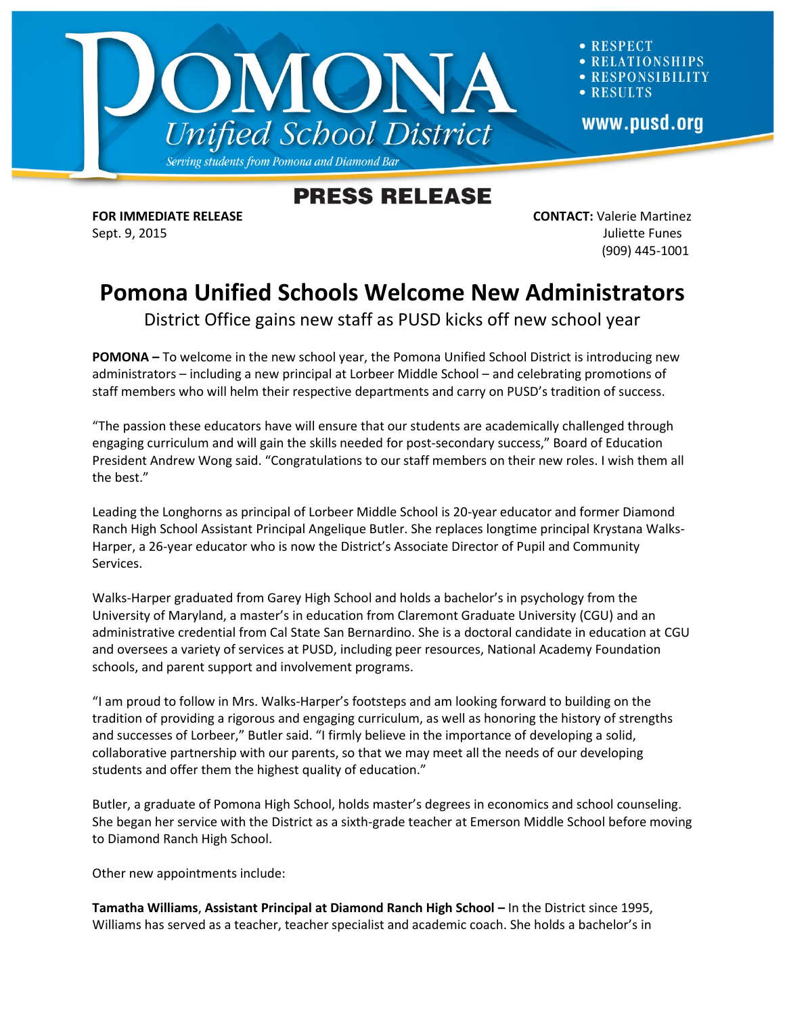

**RESPECT ATIONSHIPS RESPONSIBILITY RESULTS** www.pusd.org

## **PRESS RELEASE**

**FOR IMMEDIATE RELEASE CONTACT:** Valerie Martinez Sept. 9, 2015 Juliette Funes (909) 445-1001

## **Pomona Unified Schools Welcome New Administrators**

District Office gains new staff as PUSD kicks off new school year

**POMONA –** To welcome in the new school year, the Pomona Unified School District is introducing new administrators – including a new principal at Lorbeer Middle School – and celebrating promotions of staff members who will helm their respective departments and carry on PUSD's tradition of success.

"The passion these educators have will ensure that our students are academically challenged through engaging curriculum and will gain the skills needed for post-secondary success," Board of Education President Andrew Wong said. "Congratulations to our staff members on their new roles. I wish them all the best."

Leading the Longhorns as principal of Lorbeer Middle School is 20-year educator and former Diamond Ranch High School Assistant Principal Angelique Butler. She replaces longtime principal Krystana Walks-Harper, a 26-year educator who is now the District's Associate Director of Pupil and Community Services.

Walks-Harper graduated from Garey High School and holds a bachelor's in psychology from the University of Maryland, a master's in education from Claremont Graduate University (CGU) and an administrative credential from Cal State San Bernardino. She is a doctoral candidate in education at CGU and oversees a variety of services at PUSD, including peer resources, National Academy Foundation schools, and parent support and involvement programs.

"I am proud to follow in Mrs. Walks-Harper's footsteps and am looking forward to building on the tradition of providing a rigorous and engaging curriculum, as well as honoring the history of strengths and successes of Lorbeer," Butler said. "I firmly believe in the importance of developing a solid, collaborative partnership with our parents, so that we may meet all the needs of our developing students and offer them the highest quality of education."

Butler, a graduate of Pomona High School, holds master's degrees in economics and school counseling. She began her service with the District as a sixth-grade teacher at Emerson Middle School before moving to Diamond Ranch High School.

Other new appointments include:

**Tamatha Williams**, **Assistant Principal at Diamond Ranch High School –** In the District since 1995, Williams has served as a teacher, teacher specialist and academic coach. She holds a bachelor's in